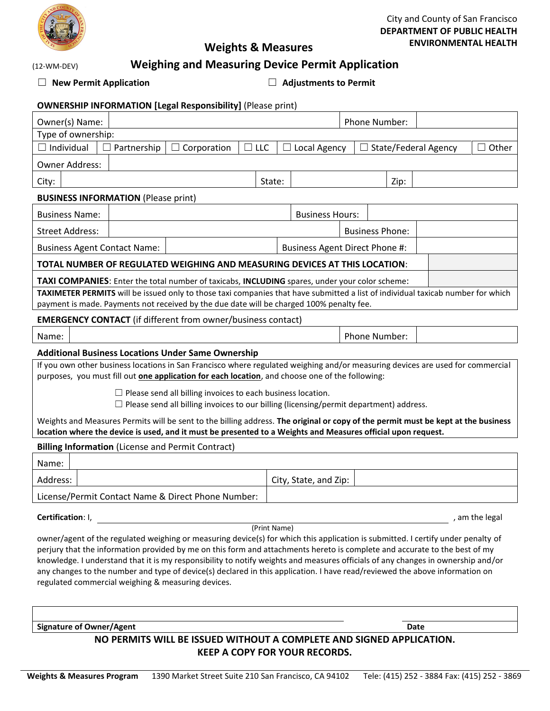

### City and County of San Francisco **DEPARTMENT OF PUBLIC HEALTH ENVIRONMENTAL HEALTH**

(12-WM-DEV)

# **Weights & Measures**

## **Weighing and Measuring Device Permit Application**

☐ **New Permit Application** ☐ **Adjustments to Permit**

| <b>OWNERSHIP INFORMATION [Legal Responsibility] (Please print)</b>                                                                                                                                                                                                                                                                                                                                                                                                                                                                                                                                      |                                |                        |  |                        |               |       |  |  |
|---------------------------------------------------------------------------------------------------------------------------------------------------------------------------------------------------------------------------------------------------------------------------------------------------------------------------------------------------------------------------------------------------------------------------------------------------------------------------------------------------------------------------------------------------------------------------------------------------------|--------------------------------|------------------------|--|------------------------|---------------|-------|--|--|
| Owner(s) Name:                                                                                                                                                                                                                                                                                                                                                                                                                                                                                                                                                                                          |                                |                        |  |                        | Phone Number: |       |  |  |
| Type of ownership:                                                                                                                                                                                                                                                                                                                                                                                                                                                                                                                                                                                      |                                |                        |  |                        |               |       |  |  |
| $\Box$ Individual<br>Partnership<br>$\Box$ LLC<br>$\Box$ Corporation                                                                                                                                                                                                                                                                                                                                                                                                                                                                                                                                    |                                | Local Agency           |  | State/Federal Agency   |               | Other |  |  |
| <b>Owner Address:</b>                                                                                                                                                                                                                                                                                                                                                                                                                                                                                                                                                                                   |                                |                        |  |                        |               |       |  |  |
| City:                                                                                                                                                                                                                                                                                                                                                                                                                                                                                                                                                                                                   | State:                         |                        |  | Zip:                   |               |       |  |  |
| <b>BUSINESS INFORMATION (Please print)</b>                                                                                                                                                                                                                                                                                                                                                                                                                                                                                                                                                              |                                |                        |  |                        |               |       |  |  |
| <b>Business Name:</b>                                                                                                                                                                                                                                                                                                                                                                                                                                                                                                                                                                                   |                                | <b>Business Hours:</b> |  |                        |               |       |  |  |
| <b>Street Address:</b>                                                                                                                                                                                                                                                                                                                                                                                                                                                                                                                                                                                  |                                |                        |  | <b>Business Phone:</b> |               |       |  |  |
| <b>Business Agent Contact Name:</b>                                                                                                                                                                                                                                                                                                                                                                                                                                                                                                                                                                     | Business Agent Direct Phone #: |                        |  |                        |               |       |  |  |
| <b>TOTAL NUMBER OF REGULATED WEIGHING AND MEASURING DEVICES AT THIS LOCATION:</b>                                                                                                                                                                                                                                                                                                                                                                                                                                                                                                                       |                                |                        |  |                        |               |       |  |  |
| TAXI COMPANIES: Enter the total number of taxicabs, INCLUDING spares, under your color scheme:                                                                                                                                                                                                                                                                                                                                                                                                                                                                                                          |                                |                        |  |                        |               |       |  |  |
| TAXIMETER PERMITS will be issued only to those taxi companies that have submitted a list of individual taxicab number for which                                                                                                                                                                                                                                                                                                                                                                                                                                                                         |                                |                        |  |                        |               |       |  |  |
| payment is made. Payments not received by the due date will be charged 100% penalty fee.<br><b>EMERGENCY CONTACT</b> (if different from owner/business contact)                                                                                                                                                                                                                                                                                                                                                                                                                                         |                                |                        |  |                        |               |       |  |  |
|                                                                                                                                                                                                                                                                                                                                                                                                                                                                                                                                                                                                         |                                |                        |  |                        |               |       |  |  |
| Name:                                                                                                                                                                                                                                                                                                                                                                                                                                                                                                                                                                                                   |                                |                        |  | Phone Number:          |               |       |  |  |
| <b>Additional Business Locations Under Same Ownership</b>                                                                                                                                                                                                                                                                                                                                                                                                                                                                                                                                               |                                |                        |  |                        |               |       |  |  |
| If you own other business locations in San Francisco where regulated weighing and/or measuring devices are used for commercial<br>purposes, you must fill out <b>one application for each location</b> , and choose one of the following:                                                                                                                                                                                                                                                                                                                                                               |                                |                        |  |                        |               |       |  |  |
| $\Box$ Please send all billing invoices to each business location.<br>$\Box$ Please send all billing invoices to our billing (licensing/permit department) address.                                                                                                                                                                                                                                                                                                                                                                                                                                     |                                |                        |  |                        |               |       |  |  |
| Weights and Measures Permits will be sent to the billing address. The original or copy of the permit must be kept at the business<br>location where the device is used, and it must be presented to a Weights and Measures official upon request.                                                                                                                                                                                                                                                                                                                                                       |                                |                        |  |                        |               |       |  |  |
| <b>Billing Information (License and Permit Contract)</b>                                                                                                                                                                                                                                                                                                                                                                                                                                                                                                                                                |                                |                        |  |                        |               |       |  |  |
| Name:                                                                                                                                                                                                                                                                                                                                                                                                                                                                                                                                                                                                   |                                |                        |  |                        |               |       |  |  |
| Address:                                                                                                                                                                                                                                                                                                                                                                                                                                                                                                                                                                                                |                                | City, State, and Zip:  |  |                        |               |       |  |  |
| License/Permit Contact Name & Direct Phone Number:                                                                                                                                                                                                                                                                                                                                                                                                                                                                                                                                                      |                                |                        |  |                        |               |       |  |  |
| Certification: I,<br>, am the legal                                                                                                                                                                                                                                                                                                                                                                                                                                                                                                                                                                     |                                |                        |  |                        |               |       |  |  |
| (Print Name)<br>owner/agent of the regulated weighing or measuring device(s) for which this application is submitted. I certify under penalty of<br>perjury that the information provided by me on this form and attachments hereto is complete and accurate to the best of my<br>knowledge. I understand that it is my responsibility to notify weights and measures officials of any changes in ownership and/or<br>any changes to the number and type of device(s) declared in this application. I have read/reviewed the above information on<br>regulated commercial weighing & measuring devices. |                                |                        |  |                        |               |       |  |  |

**Signature of Owner/Agent Date** 

### **NO PERMITS WILL BE ISSUED WITHOUT A COMPLETE AND SIGNED APPLICATION. KEEP A COPY FOR YOUR RECORDS.**